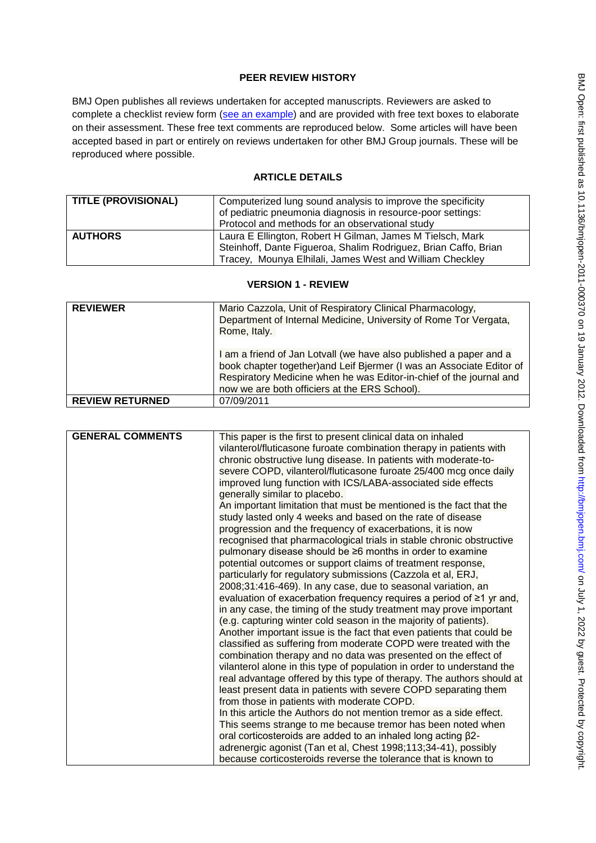# **PEER REVIEW HISTORY**

BMJ Open publishes all reviews undertaken for accepted manuscripts. Reviewers are asked to complete a checklist review form [\(see an example\)](http://bmjopen.bmj.com/site/about/resources/ScholarOne_Manuscripts.pdf) and are provided with free text boxes to elaborate on their assessment. These free text comments are reproduced below. Some articles will have been accepted based in part or entirely on reviews undertaken for other BMJ Group journals. These will be reproduced where possible.

# **ARTICLE DETAILS**

| <b>TITLE (PROVISIONAL)</b> | Computerized lung sound analysis to improve the specificity     |
|----------------------------|-----------------------------------------------------------------|
|                            | of pediatric pneumonia diagnosis in resource-poor settings:     |
|                            | Protocol and methods for an observational study                 |
| <b>AUTHORS</b>             | Laura E Ellington, Robert H Gilman, James M Tielsch, Mark       |
|                            | Steinhoff, Dante Figueroa, Shalim Rodriguez, Brian Caffo, Brian |
|                            | Tracey, Mounya Elhilali, James West and William Checkley        |

### **VERSION 1 - REVIEW**

| <b>REVIEWER</b>        | Mario Cazzola, Unit of Respiratory Clinical Pharmacology,<br>Department of Internal Medicine, University of Rome Tor Vergata,<br>Rome, Italy.                                                                                                                       |
|------------------------|---------------------------------------------------------------------------------------------------------------------------------------------------------------------------------------------------------------------------------------------------------------------|
|                        | I am a friend of Jan Lotvall (we have also published a paper and a<br>book chapter together) and Leif Bjermer (I was an Associate Editor of<br>Respiratory Medicine when he was Editor-in-chief of the journal and<br>now we are both officiers at the ERS School). |
| <b>REVIEW RETURNED</b> | 07/09/2011                                                                                                                                                                                                                                                          |

| <b>GENERAL COMMENTS</b> | This paper is the first to present clinical data on inhaled                |
|-------------------------|----------------------------------------------------------------------------|
|                         | vilanterol/fluticasone furoate combination therapy in patients with        |
|                         | chronic obstructive lung disease. In patients with moderate-to-            |
|                         | severe COPD, vilanterol/fluticasone furoate 25/400 mcg once daily          |
|                         | improved lung function with ICS/LABA-associated side effects               |
|                         | generally similar to placebo.                                              |
|                         | An important limitation that must be mentioned is the fact that the        |
|                         | study lasted only 4 weeks and based on the rate of disease                 |
|                         | progression and the frequency of exacerbations, it is now                  |
|                         | recognised that pharmacological trials in stable chronic obstructive       |
|                         | pulmonary disease should be ≥6 months in order to examine                  |
|                         | potential outcomes or support claims of treatment response,                |
|                         | particularly for regulatory submissions (Cazzola et al, ERJ,               |
|                         | 2008;31:416-469). In any case, due to seasonal variation, an               |
|                         | evaluation of exacerbation frequency requires a period of $\geq 1$ yr and, |
|                         | in any case, the timing of the study treatment may prove important         |
|                         | (e.g. capturing winter cold season in the majority of patients).           |
|                         | Another important issue is the fact that even patients that could be       |
|                         | classified as suffering from moderate COPD were treated with the           |
|                         | combination therapy and no data was presented on the effect of             |
|                         | vilanterol alone in this type of population in order to understand the     |
|                         | real advantage offered by this type of therapy. The authors should at      |
|                         | least present data in patients with severe COPD separating them            |
|                         | from those in patients with moderate COPD.                                 |
|                         | In this article the Authors do not mention tremor as a side effect.        |
|                         | This seems strange to me because tremor has been noted when                |
|                         | oral corticosteroids are added to an inhaled long acting $\beta$ 2-        |
|                         | adrenergic agonist (Tan et al, Chest 1998;113;34-41), possibly             |
|                         | because corticosteroids reverse the tolerance that is known to             |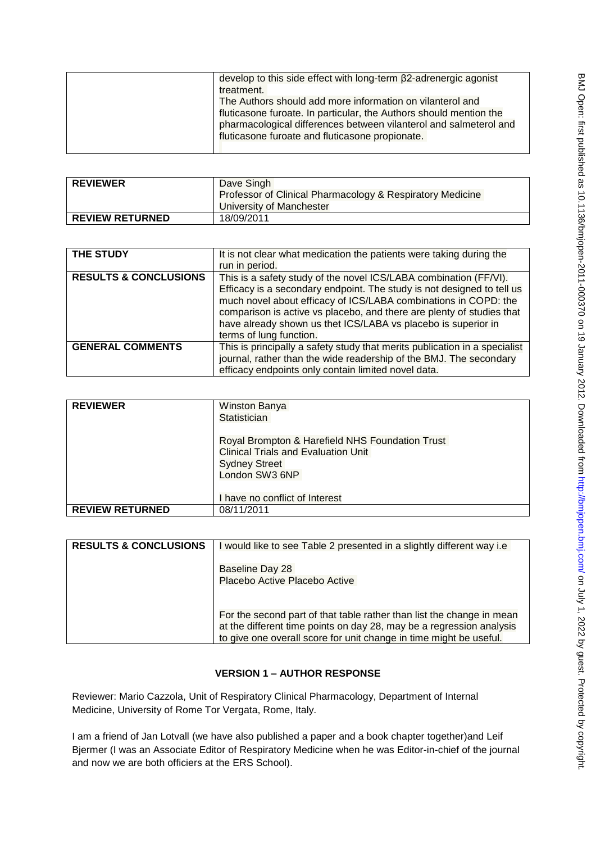| develop to this side effect with long-term β2-adrenergic agonist   |
|--------------------------------------------------------------------|
| treatment.                                                         |
| The Authors should add more information on vilanterol and          |
| fluticasone furoate. In particular, the Authors should mention the |
| pharmacological differences between vilanterol and salmeterol and  |
| fluticasone furoate and fluticasone propionate.                    |
|                                                                    |

| <b>REVIEWER</b>        | Dave Singh                                                |
|------------------------|-----------------------------------------------------------|
|                        | Professor of Clinical Pharmacology & Respiratory Medicine |
|                        | University of Manchester                                  |
| <b>REVIEW RETURNED</b> | 18/09/2011                                                |

| THE STUDY                        | It is not clear what medication the patients were taking during the<br>run in period.                                                                                                                                                                                                                                                                                               |
|----------------------------------|-------------------------------------------------------------------------------------------------------------------------------------------------------------------------------------------------------------------------------------------------------------------------------------------------------------------------------------------------------------------------------------|
| <b>RESULTS &amp; CONCLUSIONS</b> | This is a safety study of the novel ICS/LABA combination (FF/VI).<br>Efficacy is a secondary endpoint. The study is not designed to tell us<br>much novel about efficacy of ICS/LABA combinations in COPD: the<br>comparison is active vs placebo, and there are plenty of studies that<br>have already shown us thet ICS/LABA vs placebo is superior in<br>terms of lung function. |
| <b>GENERAL COMMENTS</b>          | This is principally a safety study that merits publication in a specialist<br>journal, rather than the wide readership of the BMJ. The secondary<br>efficacy endpoints only contain limited novel data.                                                                                                                                                                             |

| <b>REVIEWER</b>        | <b>Winston Banya</b><br>Statistician                                                                                                    |
|------------------------|-----------------------------------------------------------------------------------------------------------------------------------------|
|                        | Royal Brompton & Harefield NHS Foundation Trust<br><b>Clinical Trials and Evaluation Unit</b><br><b>Sydney Street</b><br>London SW3 6NP |
|                        | I have no conflict of Interest                                                                                                          |
| <b>REVIEW RETURNED</b> | 08/11/2011                                                                                                                              |

| <b>RESULTS &amp; CONCLUSIONS</b> | would like to see Table 2 presented in a slightly different way i.e.                                                                                                                                                |
|----------------------------------|---------------------------------------------------------------------------------------------------------------------------------------------------------------------------------------------------------------------|
|                                  | Baseline Day 28<br>Placebo Active Placebo Active                                                                                                                                                                    |
|                                  | For the second part of that table rather than list the change in mean<br>at the different time points on day 28, may be a regression analysis<br>to give one overall score for unit change in time might be useful. |

# **VERSION 1 – AUTHOR RESPONSE**

Reviewer: Mario Cazzola, Unit of Respiratory Clinical Pharmacology, Department of Internal Medicine, University of Rome Tor Vergata, Rome, Italy.

I am a friend of Jan Lotvall (we have also published a paper and a book chapter together)and Leif Bjermer (I was an Associate Editor of Respiratory Medicine when he was Editor-in-chief of the journal and now we are both officiers at the ERS School).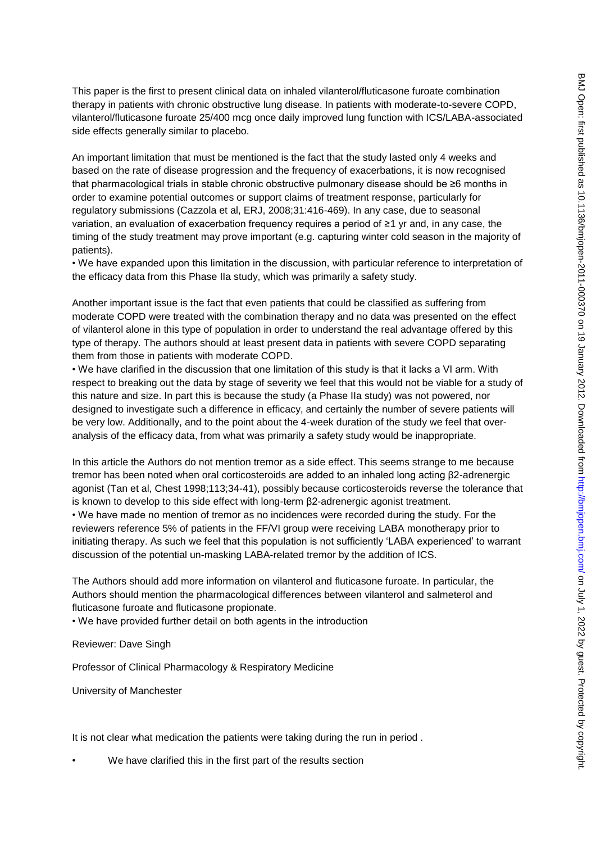This paper is the first to present clinical data on inhaled vilanterol/fluticasone furoate combination therapy in patients with chronic obstructive lung disease. In patients with moderate-to-severe COPD, vilanterol/fluticasone furoate 25/400 mcg once daily improved lung function with ICS/LABA-associated side effects generally similar to placebo.

An important limitation that must be mentioned is the fact that the study lasted only 4 weeks and based on the rate of disease progression and the frequency of exacerbations, it is now recognised that pharmacological trials in stable chronic obstructive pulmonary disease should be ≥6 months in order to examine potential outcomes or support claims of treatment response, particularly for regulatory submissions (Cazzola et al, ERJ, 2008;31:416-469). In any case, due to seasonal variation, an evaluation of exacerbation frequency requires a period of ≥1 yr and, in any case, the timing of the study treatment may prove important (e.g. capturing winter cold season in the majority of patients).

• We have expanded upon this limitation in the discussion, with particular reference to interpretation of the efficacy data from this Phase IIa study, which was primarily a safety study.

Another important issue is the fact that even patients that could be classified as suffering from moderate COPD were treated with the combination therapy and no data was presented on the effect of vilanterol alone in this type of population in order to understand the real advantage offered by this type of therapy. The authors should at least present data in patients with severe COPD separating them from those in patients with moderate COPD.

• We have clarified in the discussion that one limitation of this study is that it lacks a VI arm. With respect to breaking out the data by stage of severity we feel that this would not be viable for a study of this nature and size. In part this is because the study (a Phase IIa study) was not powered, nor designed to investigate such a difference in efficacy, and certainly the number of severe patients will be very low. Additionally, and to the point about the 4-week duration of the study we feel that overanalysis of the efficacy data, from what was primarily a safety study would be inappropriate.

In this article the Authors do not mention tremor as a side effect. This seems strange to me because tremor has been noted when oral corticosteroids are added to an inhaled long acting β2-adrenergic agonist (Tan et al, Chest 1998;113;34-41), possibly because corticosteroids reverse the tolerance that is known to develop to this side effect with long-term β2-adrenergic agonist treatment.

• We have made no mention of tremor as no incidences were recorded during the study. For the reviewers reference 5% of patients in the FF/VI group were receiving LABA monotherapy prior to initiating therapy. As such we feel that this population is not sufficiently 'LABA experienced' to warrant discussion of the potential un-masking LABA-related tremor by the addition of ICS.

The Authors should add more information on vilanterol and fluticasone furoate. In particular, the Authors should mention the pharmacological differences between vilanterol and salmeterol and fluticasone furoate and fluticasone propionate.

• We have provided further detail on both agents in the introduction

Reviewer: Dave Singh

Professor of Clinical Pharmacology & Respiratory Medicine

University of Manchester

It is not clear what medication the patients were taking during the run in period.

We have clarified this in the first part of the results section